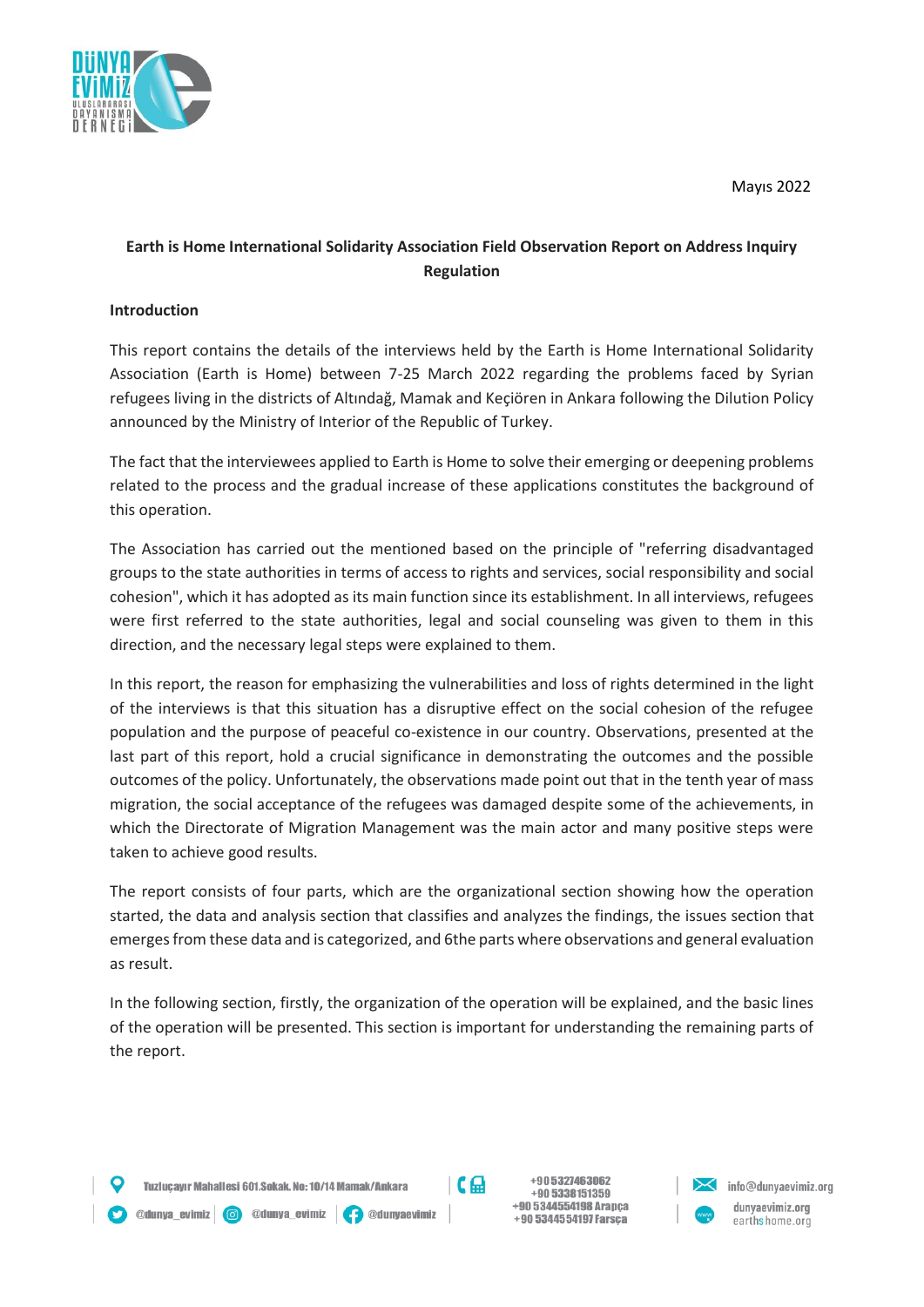

# **Earth is Home International Solidarity Association Field Observation Report on Address Inquiry Regulation**

#### **Introduction**

This report contains the details of the interviews held by the Earth is Home International Solidarity Association (Earth is Home) between 7-25 March 2022 regarding the problems faced by Syrian refugees living in the districts of Altındağ, Mamak and Keçiören in Ankara following the Dilution Policy announced by the Ministry of Interior of the Republic of Turkey.

The fact that the interviewees applied to Earth is Home to solve their emerging or deepening problems related to the process and the gradual increase of these applications constitutes the background of this operation.

The Association has carried out the mentioned based on the principle of "referring disadvantaged groups to the state authorities in terms of access to rights and services, social responsibility and social cohesion", which it has adopted as its main function since its establishment. In all interviews, refugees were first referred to the state authorities, legal and social counseling was given to them in this direction, and the necessary legal steps were explained to them.

In this report, the reason for emphasizing the vulnerabilities and loss of rights determined in the light of the interviews is that this situation has a disruptive effect on the social cohesion of the refugee population and the purpose of peaceful co-existence in our country. Observations, presented at the last part of this report, hold a crucial significance in demonstrating the outcomes and the possible outcomes of the policy. Unfortunately, the observations made point out that in the tenth year of mass migration, the social acceptance of the refugees was damaged despite some of the achievements, in which the Directorate of Migration Management was the main actor and many positive steps were taken to achieve good results.

The report consists of four parts, which are the organizational section showing how the operation started, the data and analysis section that classifies and analyzes the findings, the issues section that emerges from these data and is categorized, and 6the parts where observations and general evaluation as result.

In the following section, firstly, the organization of the operation will be explained, and the basic lines of the operation will be presented. This section is important for understanding the remaining parts of the report.

@dunya\_evimiz | 6 @dunya\_evimiz | 9 @dunyaevimiz



+905327463062 +90 5338151359 +90 5344554198 Arapca +90 5344554197 Farsça

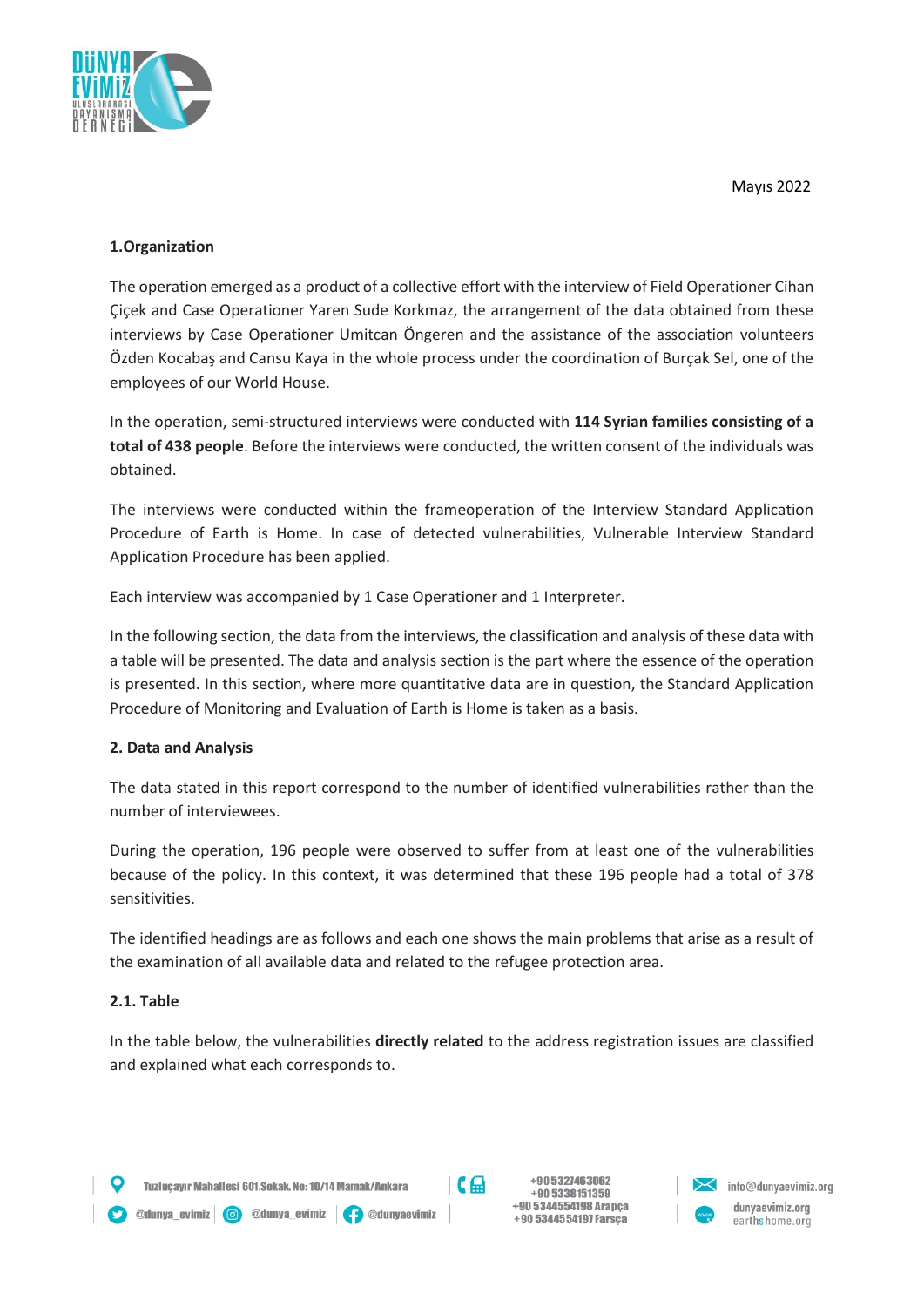

### **1.Organization**

The operation emerged as a product of a collective effort with the interview of Field Operationer Cihan Çiçek and Case Operationer Yaren Sude Korkmaz, the arrangement of the data obtained from these interviews by Case Operationer Umitcan Öngeren and the assistance of the association volunteers Özden Kocabaş and Cansu Kaya in the whole process under the coordination of Burçak Sel, one of the employees of our World House.

In the operation, semi-structured interviews were conducted with **114 Syrian families consisting of a total of 438 people**. Before the interviews were conducted, the written consent of the individuals was obtained.

The interviews were conducted within the frameoperation of the Interview Standard Application Procedure of Earth is Home. In case of detected vulnerabilities, Vulnerable Interview Standard Application Procedure has been applied.

Each interview was accompanied by 1 Case Operationer and 1 Interpreter.

In the following section, the data from the interviews, the classification and analysis of these data with a table will be presented. The data and analysis section is the part where the essence of the operation is presented. In this section, where more quantitative data are in question, the Standard Application Procedure of Monitoring and Evaluation of Earth is Home is taken as a basis.

### **2. Data and Analysis**

The data stated in this report correspond to the number of identified vulnerabilities rather than the number of interviewees.

During the operation, 196 people were observed to suffer from at least one of the vulnerabilities because of the policy. In this context, it was determined that these 196 people had a total of 378 sensitivities.

The identified headings are as follows and each one shows the main problems that arise as a result of the examination of all available data and related to the refugee protection area.

#### **2.1. Table**

In the table below, the vulnerabilities **directly related** to the address registration issues are classified and explained what each corresponds to.

Odunya\_evimiz | O @dunya\_evimiz | O @dunyaevimiz



+905327463062 +90 5338151359 +90 5344554198 Arapca +90 5344554197 Farsça

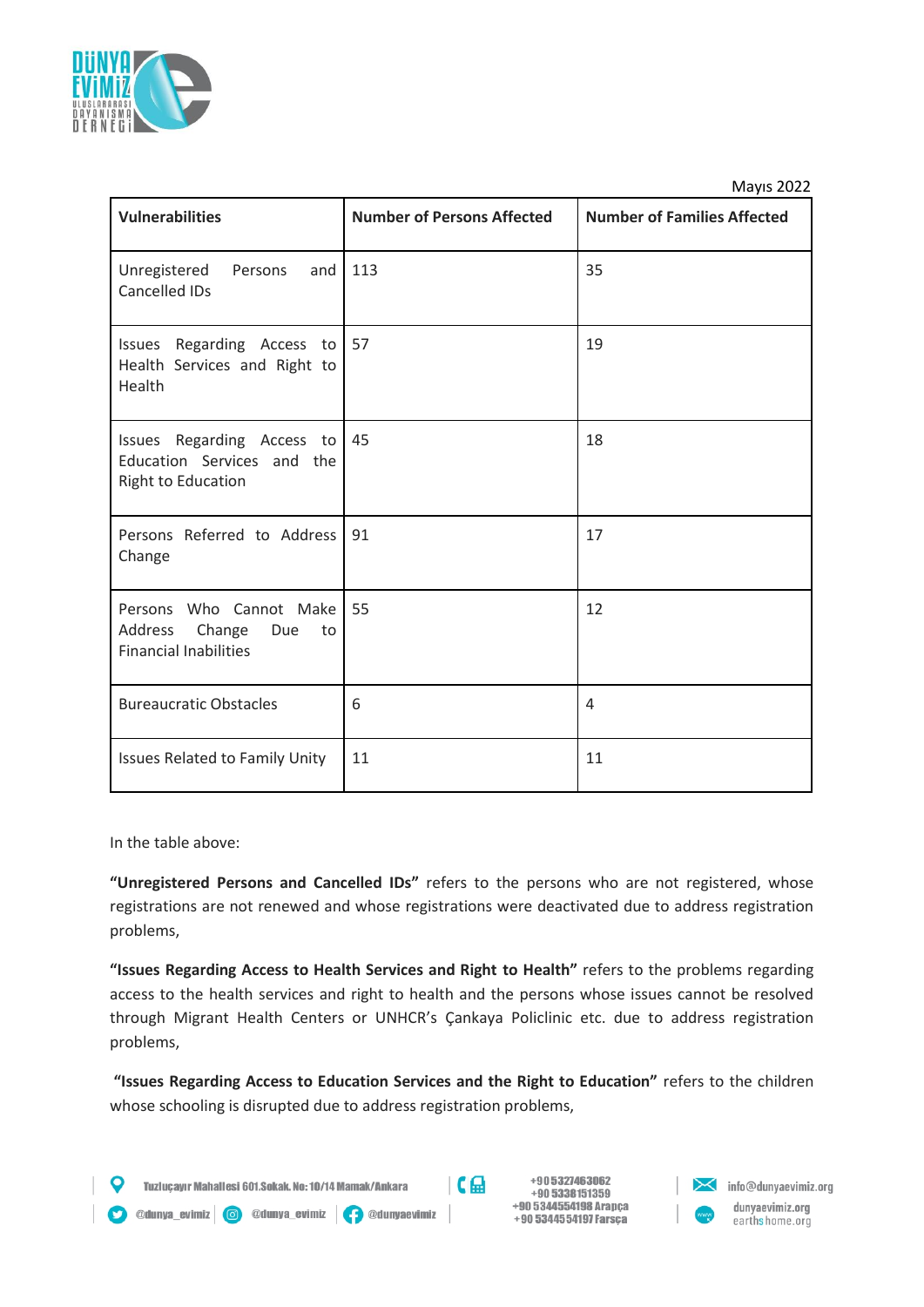

| <b>Vulnerabilities</b>                                                                       | <b>Number of Persons Affected</b> | <b>Number of Families Affected</b> |
|----------------------------------------------------------------------------------------------|-----------------------------------|------------------------------------|
| Unregistered<br>Persons<br>and<br>Cancelled IDs                                              | 113                               | 35                                 |
| Issues Regarding Access to<br>Health Services and Right to<br>Health                         | 57                                | 19                                 |
| Issues Regarding Access to<br>Education Services and the<br>Right to Education               | 45                                | 18                                 |
| Persons Referred to Address<br>Change                                                        | 91                                | 17                                 |
| Who Cannot Make<br>Persons<br>Address<br>Change<br>Due<br>to<br><b>Financial Inabilities</b> | 55                                | 12                                 |
| <b>Bureaucratic Obstacles</b>                                                                | 6                                 | 4                                  |
| Issues Related to Family Unity                                                               | 11                                | 11                                 |

In the table above:

**"Unregistered Persons and Cancelled IDs"** refers to the persons who are not registered, whose registrations are not renewed and whose registrations were deactivated due to address registration problems,

**"Issues Regarding Access to Health Services and Right to Health"** refers to the problems regarding access to the health services and right to health and the persons whose issues cannot be resolved through Migrant Health Centers or UNHCR's Çankaya Policlinic etc. due to address registration problems,

**"Issues Regarding Access to Education Services and the Right to Education"** refers to the children whose schooling is disrupted due to address registration problems,

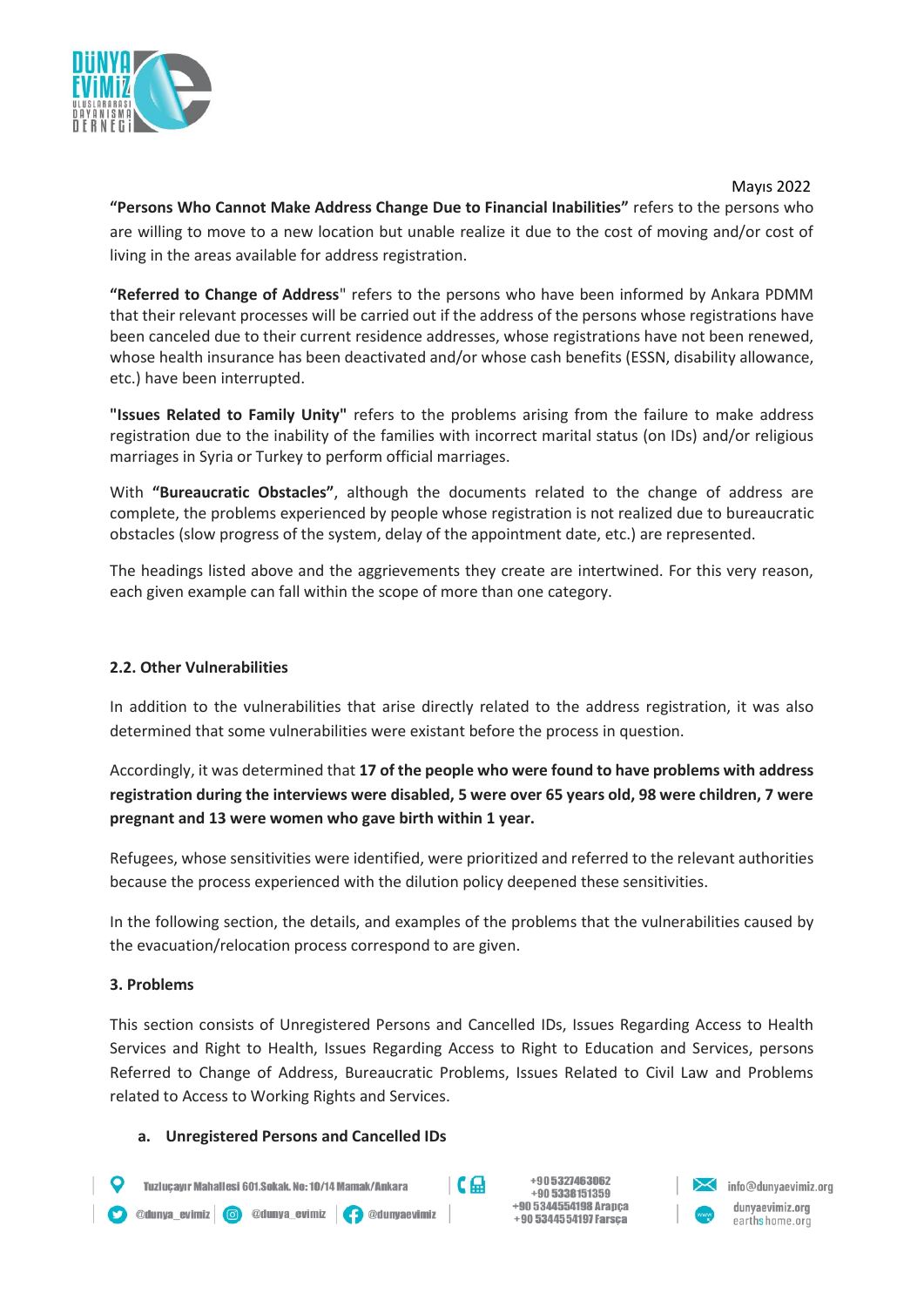

 Mayıs 2022 **"Persons Who Cannot Make Address Change Due to Financial Inabilities"** refers to the persons who are willing to move to a new location but unable realize it due to the cost of moving and/or cost of living in the areas available for address registration.

**"Referred to Change of Address**" refers to the persons who have been informed by Ankara PDMM that their relevant processes will be carried out if the address of the persons whose registrations have been canceled due to their current residence addresses, whose registrations have not been renewed, whose health insurance has been deactivated and/or whose cash benefits (ESSN, disability allowance, etc.) have been interrupted.

**"Issues Related to Family Unity"** refers to the problems arising from the failure to make address registration due to the inability of the families with incorrect marital status (on IDs) and/or religious marriages in Syria or Turkey to perform official marriages.

With **"Bureaucratic Obstacles"**, although the documents related to the change of address are complete, the problems experienced by people whose registration is not realized due to bureaucratic obstacles (slow progress of the system, delay of the appointment date, etc.) are represented.

The headings listed above and the aggrievements they create are intertwined. For this very reason, each given example can fall within the scope of more than one category.

### **2.2. Other Vulnerabilities**

In addition to the vulnerabilities that arise directly related to the address registration, it was also determined that some vulnerabilities were existant before the process in question.

Accordingly, it was determined that **17 of the people who were found to have problems with address registration during the interviews were disabled, 5 were over 65 years old, 98 were children, 7 were pregnant and 13 were women who gave birth within 1 year.**

Refugees, whose sensitivities were identified, were prioritized and referred to the relevant authorities because the process experienced with the dilution policy deepened these sensitivities.

In the following section, the details, and examples of the problems that the vulnerabilities caused by the evacuation/relocation process correspond to are given.

#### **3. Problems**

This section consists of Unregistered Persons and Cancelled IDs, Issues Regarding Access to Health Services and Right to Health, Issues Regarding Access to Right to Education and Services, persons Referred to Change of Address, Bureaucratic Problems, Issues Related to Civil Law and Problems related to Access to Working Rights and Services.

#### **a. Unregistered Persons and Cancelled IDs**

+905327463062  $C_{\rm m}$ Tuzlucavır Mahallesi 601.Sokak. No: 10/14 Mamak/Ankara info@dunyaevimiz.org +90 5338151359 +90 5344554198 Arapca dunyaevimiz.org O @dunya\_evimiz | O @dunya\_evimiz | O @dunyaevimiz +90 5344554197 Farsça earthshome.org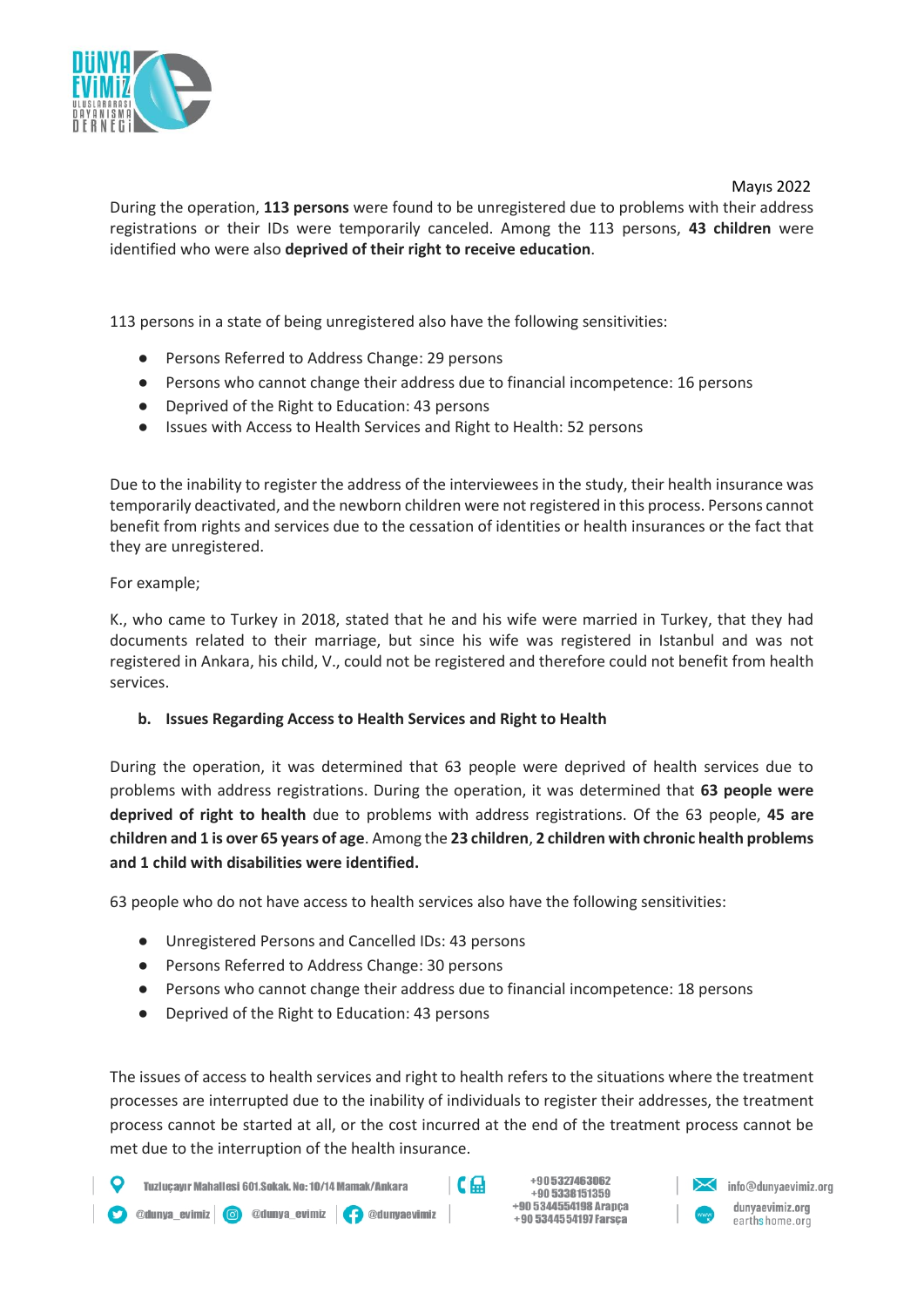

During the operation, **113 persons** were found to be unregistered due to problems with their address registrations or their IDs were temporarily canceled. Among the 113 persons, **43 children** were identified who were also **deprived of their right to receive education**.

113 persons in a state of being unregistered also have the following sensitivities:

- Persons Referred to Address Change: 29 persons
- Persons who cannot change their address due to financial incompetence: 16 persons
- Deprived of the Right to Education: 43 persons
- Issues with Access to Health Services and Right to Health: 52 persons

Due to the inability to register the address of the interviewees in the study, their health insurance was temporarily deactivated, and the newborn children were not registered in this process. Persons cannot benefit from rights and services due to the cessation of identities or health insurances or the fact that they are unregistered.

#### For example;

K., who came to Turkey in 2018, stated that he and his wife were married in Turkey, that they had documents related to their marriage, but since his wife was registered in Istanbul and was not registered in Ankara, his child, V., could not be registered and therefore could not benefit from health services.

#### **b. Issues Regarding Access to Health Services and Right to Health**

During the operation, it was determined that 63 people were deprived of health services due to problems with address registrations. During the operation, it was determined that **63 people were deprived of right to health** due to problems with address registrations. Of the 63 people, **45 are children and 1 is over 65 years of age**. Among the **23 children**, **2 children with chronic health problems and 1 child with disabilities were identified.**

63 people who do not have access to health services also have the following sensitivities:

- Unregistered Persons and Cancelled IDs: 43 persons
- Persons Referred to Address Change: 30 persons
- Persons who cannot change their address due to financial incompetence: 18 persons
- Deprived of the Right to Education: 43 persons

The issues of access to health services and right to health refers to the situations where the treatment processes are interrupted due to the inability of individuals to register their addresses, the treatment process cannot be started at all, or the cost incurred at the end of the treatment process cannot be met due to the interruption of the health insurance.

Tuzlucavır Mahallesi 601.Sokak. No: 10/14 Mamak/Ankara

O @dunya\_evimiz | O @dunya\_evimiz | O @dunyaevimiz

 $C \oplus$ 

+905327463062 +90 5338151359 +90 5344554198 Arapca +90 5344554197 Farsça

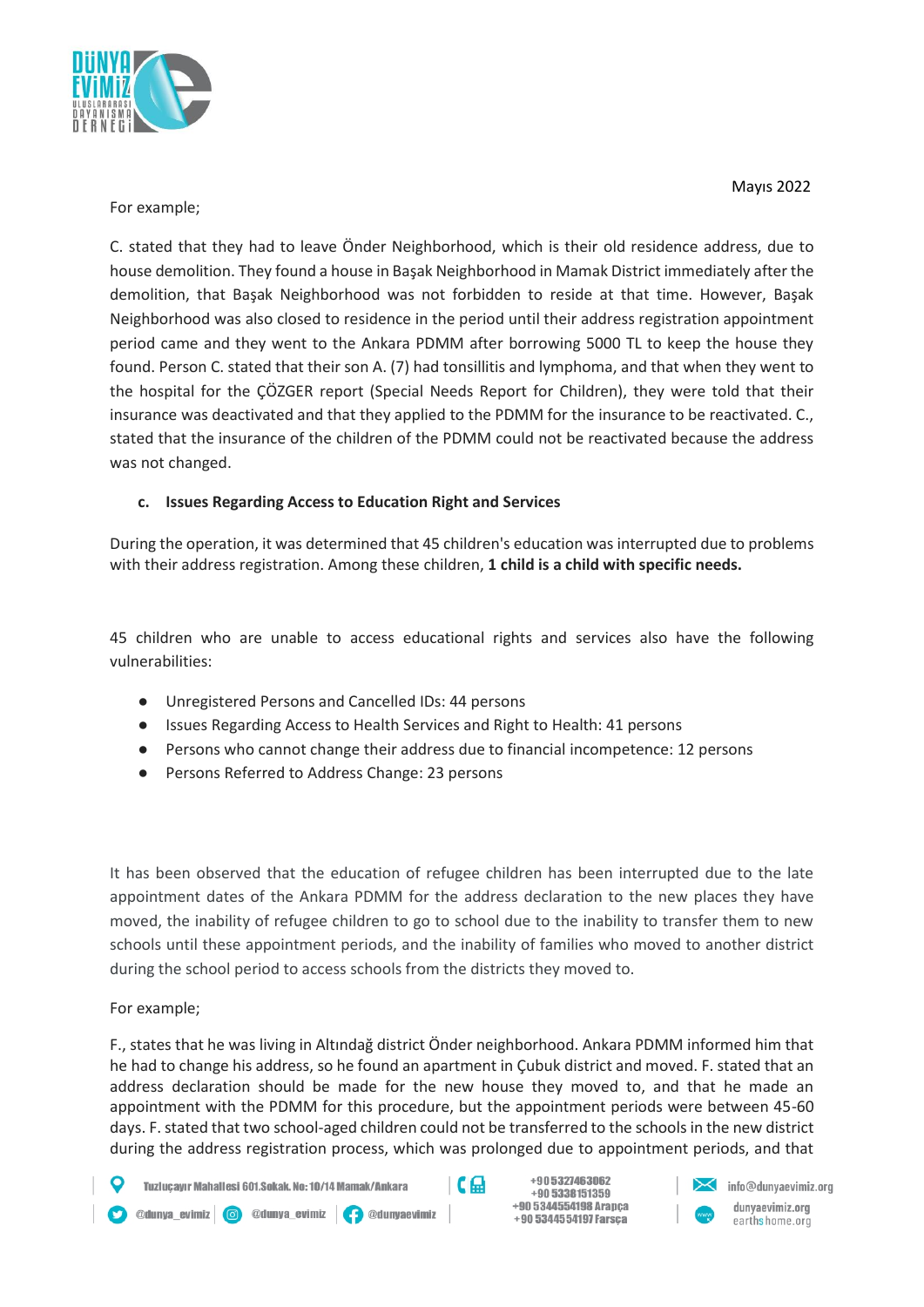

### For example;

C. stated that they had to leave Önder Neighborhood, which is their old residence address, due to house demolition. They found a house in Başak Neighborhood in Mamak District immediately after the demolition, that Başak Neighborhood was not forbidden to reside at that time. However, Başak Neighborhood was also closed to residence in the period until their address registration appointment period came and they went to the Ankara PDMM after borrowing 5000 TL to keep the house they found. Person C. stated that their son A. (7) had tonsillitis and lymphoma, and that when they went to the hospital for the ÇÖZGER report (Special Needs Report for Children), they were told that their insurance was deactivated and that they applied to the PDMM for the insurance to be reactivated. C., stated that the insurance of the children of the PDMM could not be reactivated because the address was not changed.

## **c. Issues Regarding Access to Education Right and Services**

During the operation, it was determined that 45 children's education was interrupted due to problems with their address registration. Among these children, **1 child is a child with specific needs.**

45 children who are unable to access educational rights and services also have the following vulnerabilities:

- Unregistered Persons and Cancelled IDs: 44 persons
- Issues Regarding Access to Health Services and Right to Health: 41 persons
- Persons who cannot change their address due to financial incompetence: 12 persons
- Persons Referred to Address Change: 23 persons

It has been observed that the education of refugee children has been interrupted due to the late appointment dates of the Ankara PDMM for the address declaration to the new places they have moved, the inability of refugee children to go to school due to the inability to transfer them to new schools until these appointment periods, and the inability of families who moved to another district during the school period to access schools from the districts they moved to.

### For example;

F., states that he was living in Altındağ district Önder neighborhood. Ankara PDMM informed him that he had to change his address, so he found an apartment in Çubuk district and moved. F. stated that an address declaration should be made for the new house they moved to, and that he made an appointment with the PDMM for this procedure, but the appointment periods were between 45-60 days. F. stated that two school-aged children could not be transferred to the schools in the new district during the address registration process, which was prolonged due to appointment periods, and that

Tuzlucavır Mahallesi 601.Sokak. No: 10/14 Mamak/Ankara

O @dunya\_evimiz | O @dunya\_evimiz | O @dunyaevimiz

 $C \oplus$ 

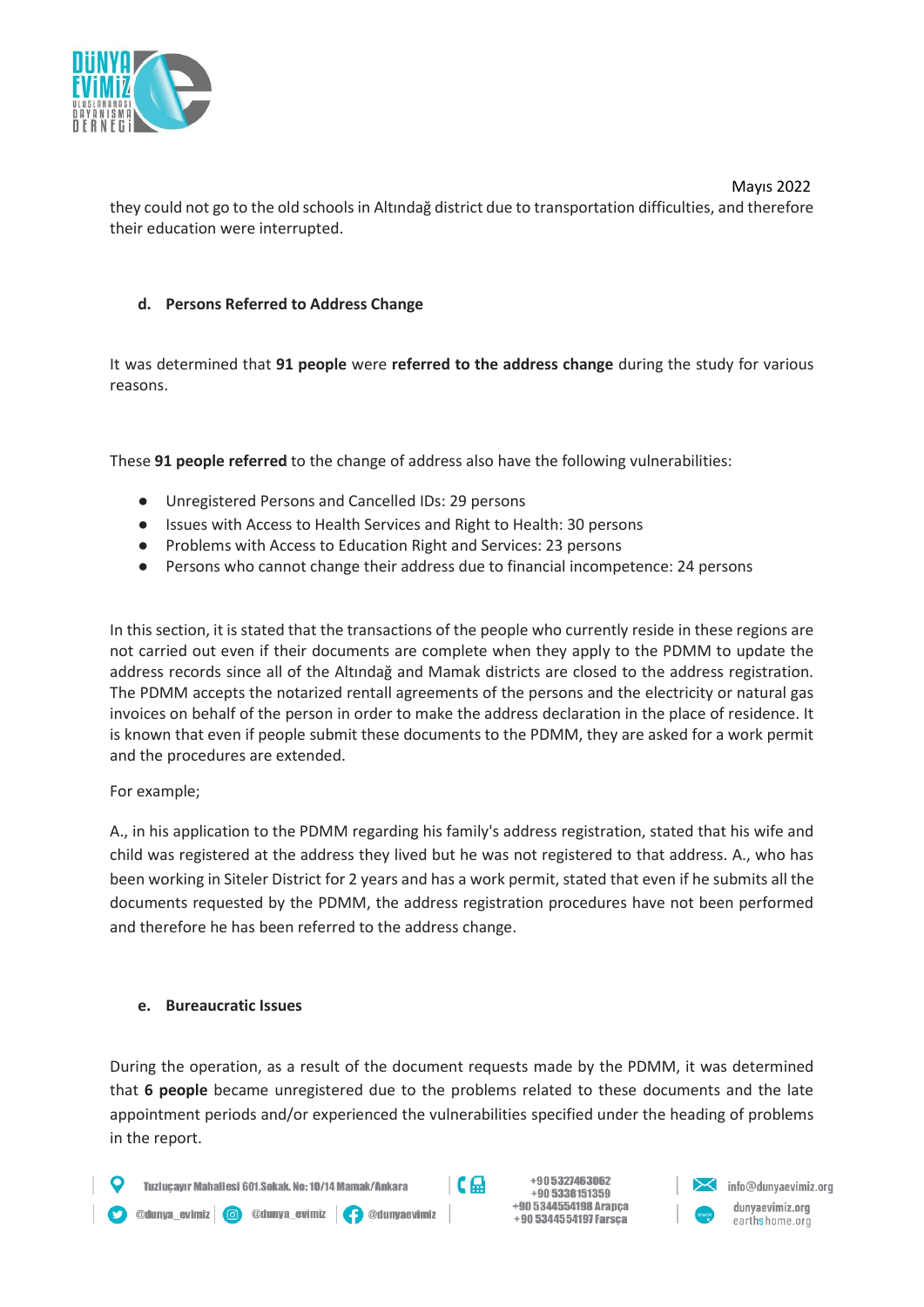

 Mayıs 2022 they could not go to the old schools in Altındağ district due to transportation difficulties, and therefore their education were interrupted.

### **d. Persons Referred to Address Change**

It was determined that **91 people** were **referred to the address change** during the study for various reasons.

These **91 people referred** to the change of address also have the following vulnerabilities:

- Unregistered Persons and Cancelled IDs: 29 persons
- Issues with Access to Health Services and Right to Health: 30 persons
- Problems with Access to Education Right and Services: 23 persons
- Persons who cannot change their address due to financial incompetence: 24 persons

In this section, it is stated that the transactions of the people who currently reside in these regions are not carried out even if their documents are complete when they apply to the PDMM to update the address records since all of the Altındağ and Mamak districts are closed to the address registration. The PDMM accepts the notarized rentall agreements of the persons and the electricity or natural gas invoices on behalf of the person in order to make the address declaration in the place of residence. It is known that even if people submit these documents to the PDMM, they are asked for a work permit and the procedures are extended.

#### For example;

A., in his application to the PDMM regarding his family's address registration, stated that his wife and child was registered at the address they lived but he was not registered to that address. A., who has been working in Siteler District for 2 years and has a work permit, stated that even if he submits all the documents requested by the PDMM, the address registration procedures have not been performed and therefore he has been referred to the address change.

#### **e. Bureaucratic Issues**

During the operation, as a result of the document requests made by the PDMM, it was determined that **6 people** became unregistered due to the problems related to these documents and the late appointment periods and/or experienced the vulnerabilities specified under the heading of problems in the report.

+905327463062  $C_{\rm m}$ Tuzlucavır Mahallesi 601.Sokak. No: 10/14 Mamak/Ankara +90 5338151359 +90 5344554198 Arapca O @dunya\_evimiz | O @dunya\_evimiz | O @dunyaevimiz +90 5344554197 Farsça

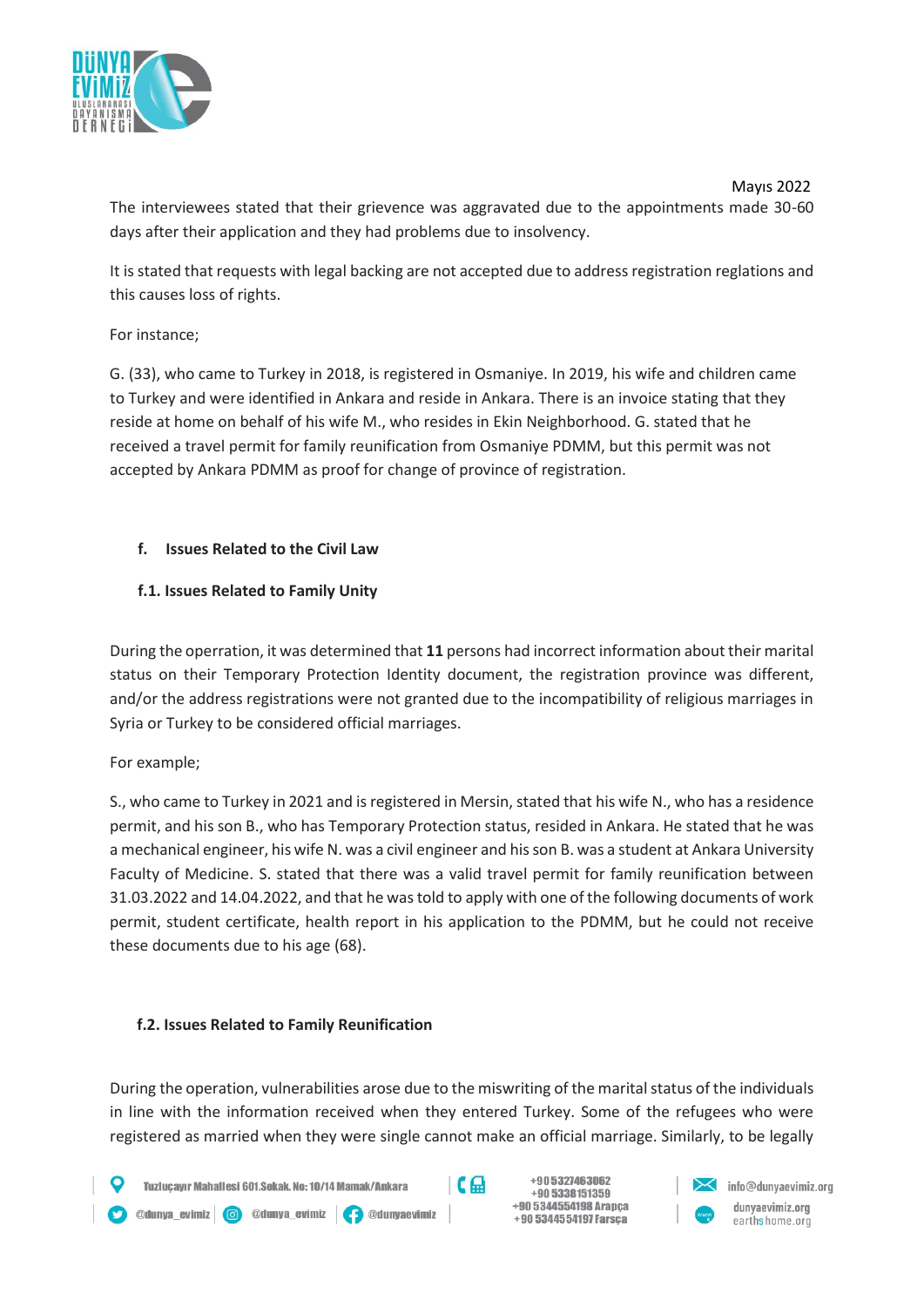

 Mayıs 2022 The interviewees stated that their grievence was aggravated due to the appointments made 30-60 days after their application and they had problems due to insolvency.

It is stated that requests with legal backing are not accepted due to address registration reglations and this causes loss of rights.

For instance;

G. (33), who came to Turkey in 2018, is registered in Osmaniye. In 2019, his wife and children came to Turkey and were identified in Ankara and reside in Ankara. There is an invoice stating that they reside at home on behalf of his wife M., who resides in Ekin Neighborhood. G. stated that he received a travel permit for family reunification from Osmaniye PDMM, but this permit was not accepted by Ankara PDMM as proof for change of province of registration.

## **f. Issues Related to the Civil Law**

## **f.1. Issues Related to Family Unity**

During the operration, it was determined that **11** persons had incorrect information about their marital status on their Temporary Protection Identity document, the registration province was different, and/or the address registrations were not granted due to the incompatibility of religious marriages in Syria or Turkey to be considered official marriages.

### For example;

S., who came to Turkey in 2021 and is registered in Mersin, stated that his wife N., who has a residence permit, and his son B., who has Temporary Protection status, resided in Ankara. He stated that he was a mechanical engineer, his wife N. was a civil engineer and his son B. was a student at Ankara University Faculty of Medicine. S. stated that there was a valid travel permit for family reunification between 31.03.2022 and 14.04.2022, and that he was told to apply with one of the following documents of work permit, student certificate, health report in his application to the PDMM, but he could not receive these documents due to his age (68).

### **f.2. Issues Related to Family Reunification**

During the operation, vulnerabilities arose due to the miswriting of the marital status of the individuals in line with the information received when they entered Turkey. Some of the refugees who were registered as married when they were single cannot make an official marriage. Similarly, to be legally





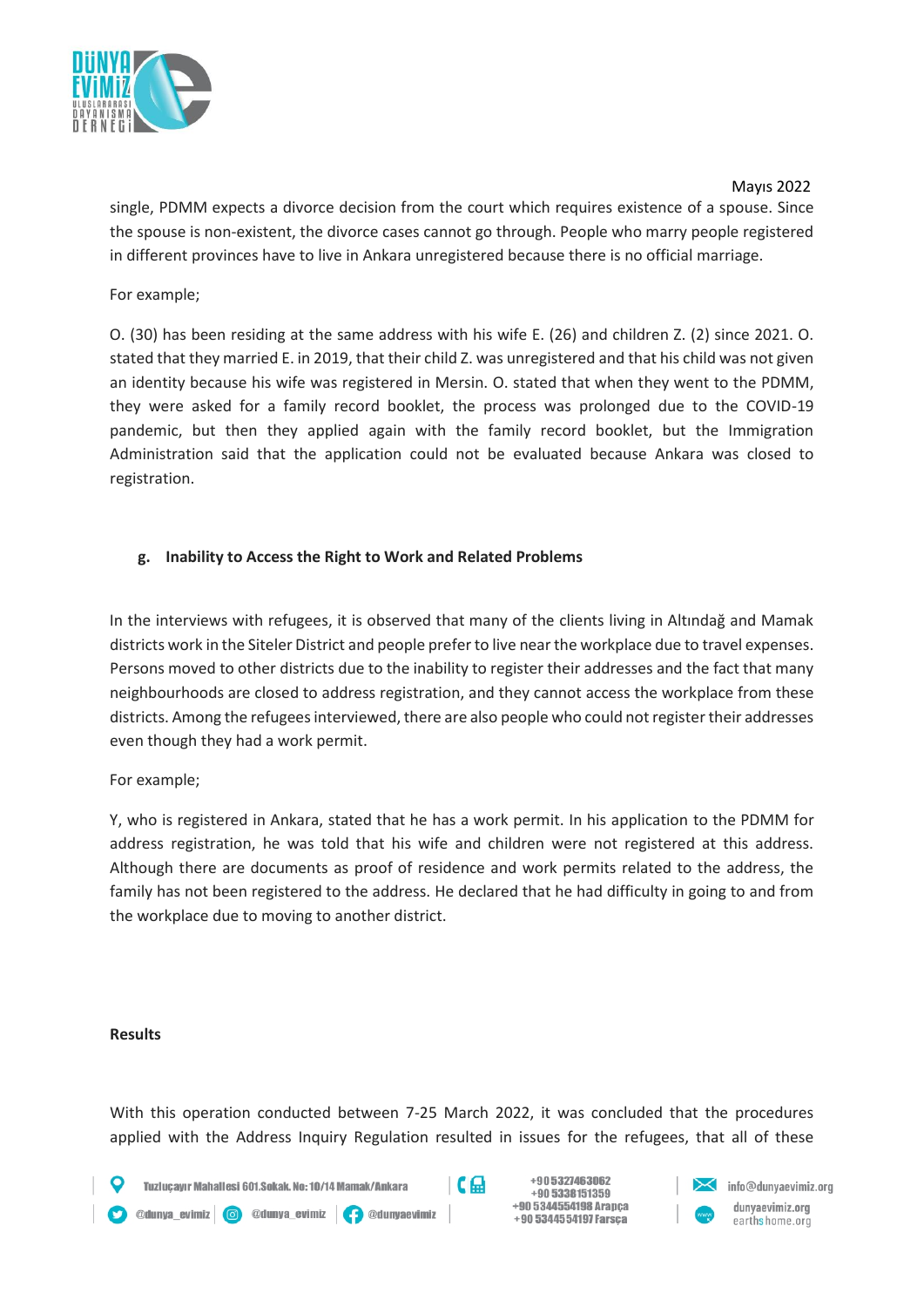

 Mayıs 2022 single, PDMM expects a divorce decision from the court which requires existence of a spouse. Since the spouse is non-existent, the divorce cases cannot go through. People who marry people registered in different provinces have to live in Ankara unregistered because there is no official marriage.

For example;

O. (30) has been residing at the same address with his wife E. (26) and children Z. (2) since 2021. O. stated that they married E. in 2019, that their child Z. was unregistered and that his child was not given an identity because his wife was registered in Mersin. O. stated that when they went to the PDMM, they were asked for a family record booklet, the process was prolonged due to the COVID-19 pandemic, but then they applied again with the family record booklet, but the Immigration Administration said that the application could not be evaluated because Ankara was closed to registration.

## **g. Inability to Access the Right to Work and Related Problems**

In the interviews with refugees, it is observed that many of the clients living in Altındağ and Mamak districts work in the Siteler District and people prefer to live near the workplace due to travel expenses. Persons moved to other districts due to the inability to register their addresses and the fact that many neighbourhoods are closed to address registration, and they cannot access the workplace from these districts. Among the refugees interviewed, there are also people who could not register their addresses even though they had a work permit.

For example;

Y, who is registered in Ankara, stated that he has a work permit. In his application to the PDMM for address registration, he was told that his wife and children were not registered at this address. Although there are documents as proof of residence and work permits related to the address, the family has not been registered to the address. He declared that he had difficulty in going to and from the workplace due to moving to another district.

#### **Results**

With this operation conducted between 7-25 March 2022, it was concluded that the procedures applied with the Address Inquiry Regulation resulted in issues for the refugees, that all of these

 $\mathsf{C} \mathfrak{a}$ 

Tuzlucavır Mahallesi 601.Sokak. No: 10/14 Mamak/Ankara

Odunya\_evimiz | O @dunya\_evimiz | O @dunyaevimiz

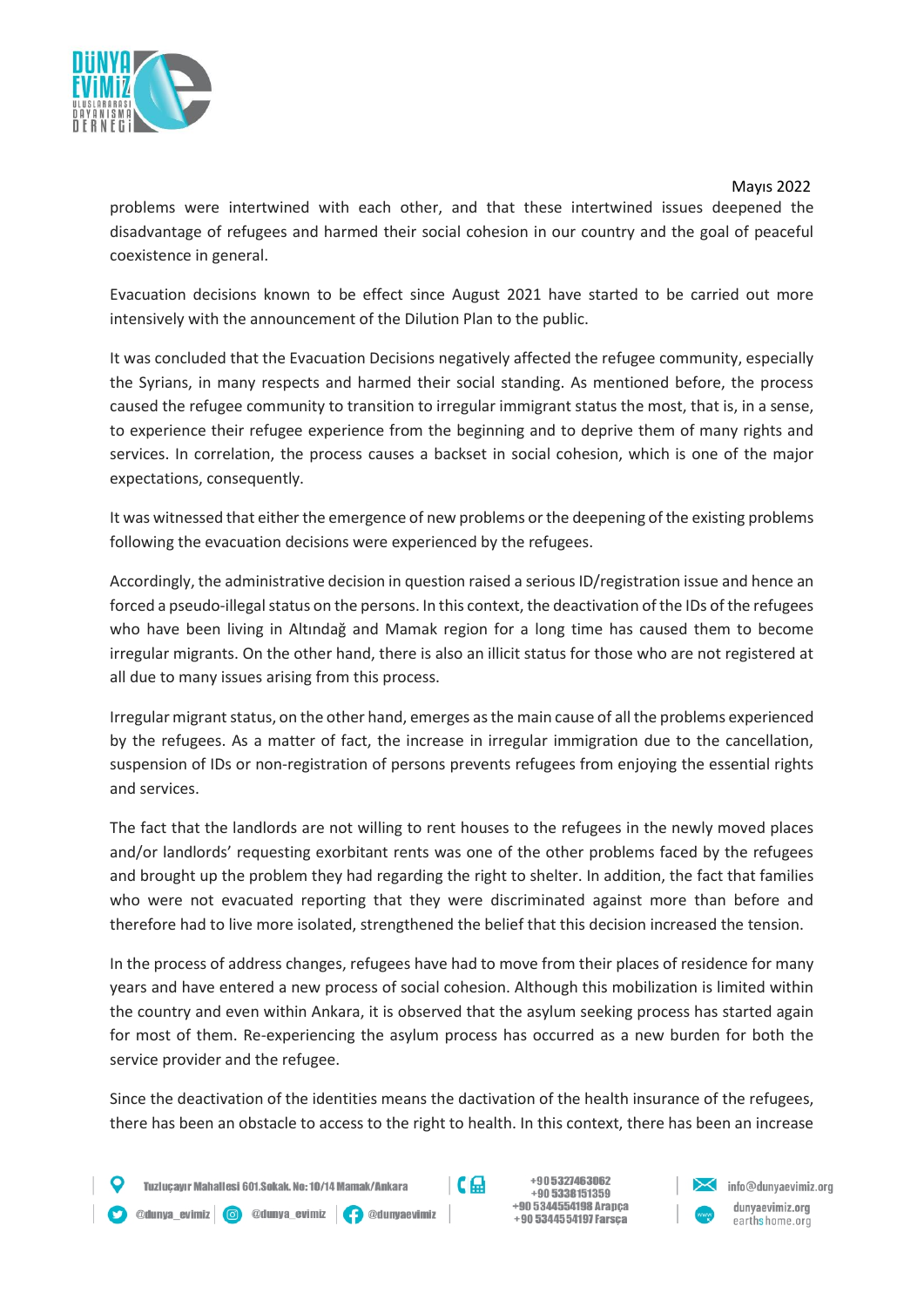

problems were intertwined with each other, and that these intertwined issues deepened the disadvantage of refugees and harmed their social cohesion in our country and the goal of peaceful coexistence in general.

Evacuation decisions known to be effect since August 2021 have started to be carried out more intensively with the announcement of the Dilution Plan to the public.

It was concluded that the Evacuation Decisions negatively affected the refugee community, especially the Syrians, in many respects and harmed their social standing. As mentioned before, the process caused the refugee community to transition to irregular immigrant status the most, that is, in a sense, to experience their refugee experience from the beginning and to deprive them of many rights and services. In correlation, the process causes a backset in social cohesion, which is one of the major expectations, consequently.

It was witnessed that either the emergence of new problems or the deepening of the existing problems following the evacuation decisions were experienced by the refugees.

Accordingly, the administrative decision in question raised a serious ID/registration issue and hence an forced a pseudo-illegal status on the persons. In this context, the deactivation of the IDs of the refugees who have been living in Altındağ and Mamak region for a long time has caused them to become irregular migrants. On the other hand, there is also an illicit status for those who are not registered at all due to many issues arising from this process.

Irregular migrant status, on the other hand, emerges as the main cause of all the problems experienced by the refugees. As a matter of fact, the increase in irregular immigration due to the cancellation, suspension of IDs or non-registration of persons prevents refugees from enjoying the essential rights and services.

The fact that the landlords are not willing to rent houses to the refugees in the newly moved places and/or landlords' requesting exorbitant rents was one of the other problems faced by the refugees and brought up the problem they had regarding the right to shelter. In addition, the fact that families who were not evacuated reporting that they were discriminated against more than before and therefore had to live more isolated, strengthened the belief that this decision increased the tension.

In the process of address changes, refugees have had to move from their places of residence for many years and have entered a new process of social cohesion. Although this mobilization is limited within the country and even within Ankara, it is observed that the asylum seeking process has started again for most of them. Re-experiencing the asylum process has occurred as a new burden for both the service provider and the refugee.

Since the deactivation of the identities means the dactivation of the health insurance of the refugees, there has been an obstacle to access to the right to health. In this context, there has been an increase

 $C_{\rm m}$ 

Odunya\_evimiz | O @dunya\_evimiz | O @dunyaevimiz

Tuzlucavır Mahallesi 601.Sokak. No: 10/14 Mamak/Ankara



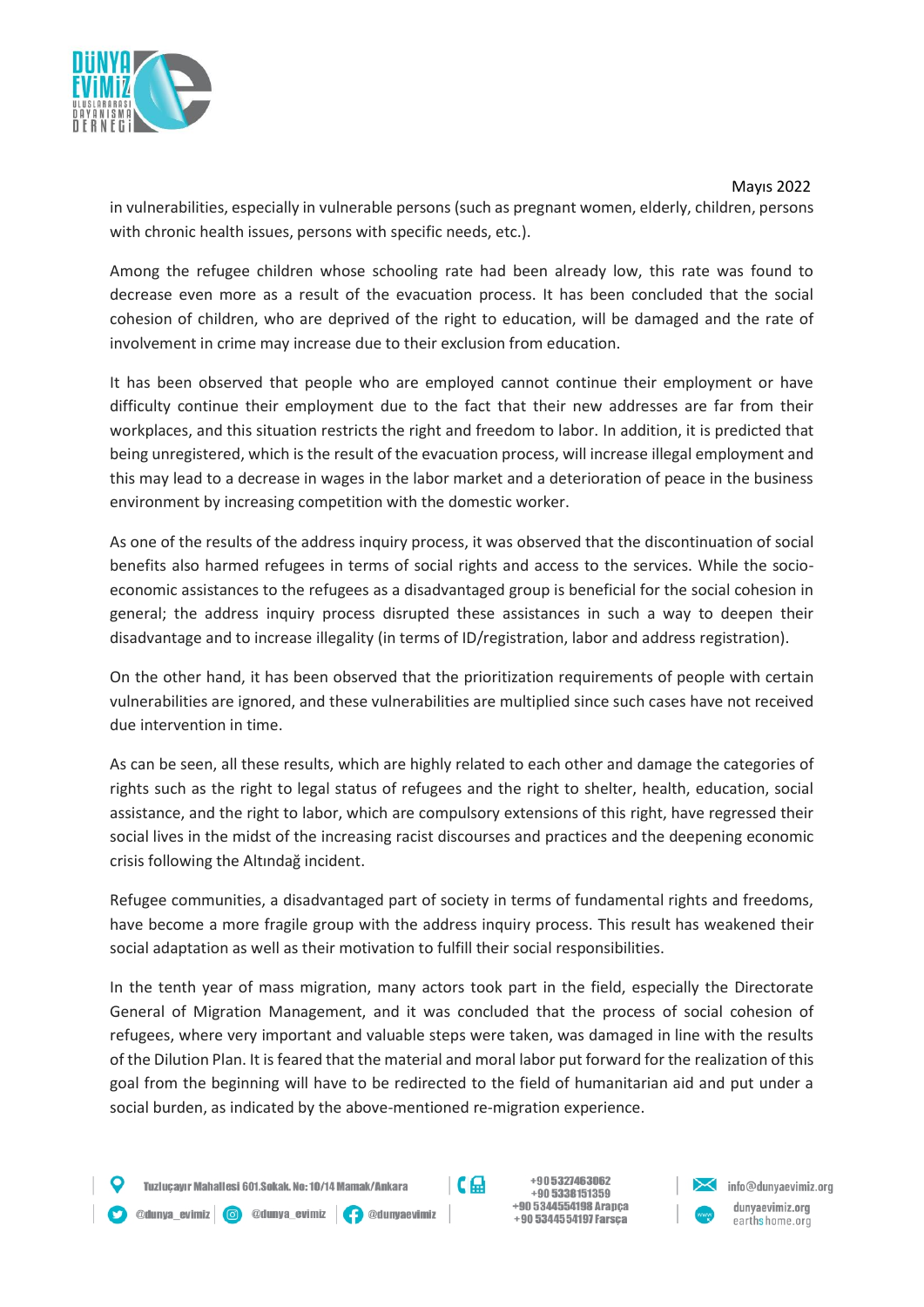

 Mayıs 2022 in vulnerabilities, especially in vulnerable persons (such as pregnant women, elderly, children, persons with chronic health issues, persons with specific needs, etc.).

Among the refugee children whose schooling rate had been already low, this rate was found to decrease even more as a result of the evacuation process. It has been concluded that the social cohesion of children, who are deprived of the right to education, will be damaged and the rate of involvement in crime may increase due to their exclusion from education.

It has been observed that people who are employed cannot continue their employment or have difficulty continue their employment due to the fact that their new addresses are far from their workplaces, and this situation restricts the right and freedom to labor. In addition, it is predicted that being unregistered, which is the result of the evacuation process, will increase illegal employment and this may lead to a decrease in wages in the labor market and a deterioration of peace in the business environment by increasing competition with the domestic worker.

As one of the results of the address inquiry process, it was observed that the discontinuation of social benefits also harmed refugees in terms of social rights and access to the services. While the socioeconomic assistances to the refugees as a disadvantaged group is beneficial for the social cohesion in general; the address inquiry process disrupted these assistances in such a way to deepen their disadvantage and to increase illegality (in terms of ID/registration, labor and address registration).

On the other hand, it has been observed that the prioritization requirements of people with certain vulnerabilities are ignored, and these vulnerabilities are multiplied since such cases have not received due intervention in time.

As can be seen, all these results, which are highly related to each other and damage the categories of rights such as the right to legal status of refugees and the right to shelter, health, education, social assistance, and the right to labor, which are compulsory extensions of this right, have regressed their social lives in the midst of the increasing racist discourses and practices and the deepening economic crisis following the Altındağ incident.

Refugee communities, a disadvantaged part of society in terms of fundamental rights and freedoms, have become a more fragile group with the address inquiry process. This result has weakened their social adaptation as well as their motivation to fulfill their social responsibilities.

In the tenth year of mass migration, many actors took part in the field, especially the Directorate General of Migration Management, and it was concluded that the process of social cohesion of refugees, where very important and valuable steps were taken, was damaged in line with the results of the Dilution Plan. It is feared that the material and moral labor put forward for the realization of this goal from the beginning will have to be redirected to the field of humanitarian aid and put under a social burden, as indicated by the above-mentioned re-migration experience.

 $C_{\rm m}$ 

Tuzlucayır Mahallesi 601.Sokak, No: 10/14 Mamak/Ankara

@dunya\_evimiz | © @dunya\_evimiz | <mark>(-)</mark> @dunyaevimiz

+905327463062 +90 5338151359 +90 5344554198 Arapca +90 5344554197 Farsça